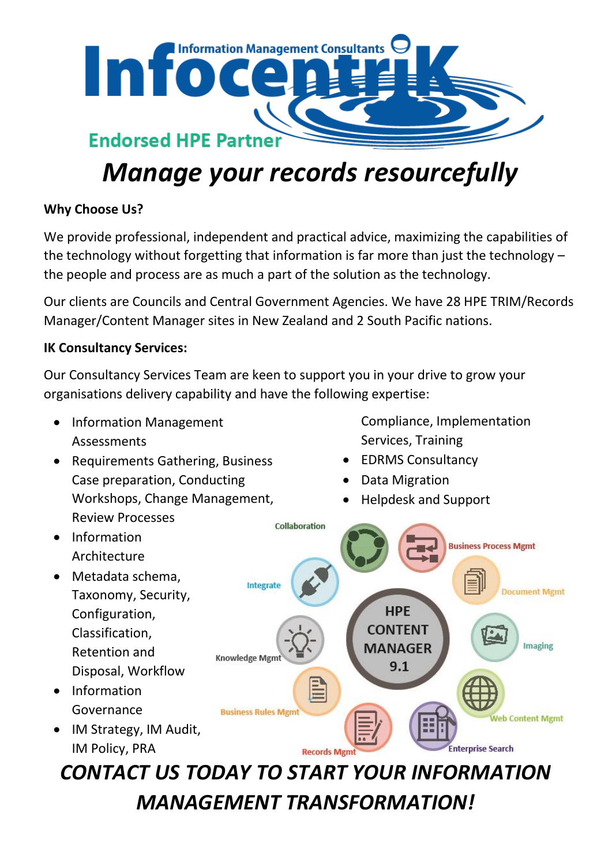

# *Manage your records resourcefully*

# **Why Choose Us?**

We provide professional, independent and practical advice, maximizing the capabilities of the technology without forgetting that information is far more than just the technology – the people and process are as much a part of the solution as the technology.

Our clients are Councils and Central Government Agencies. We have 28 HPE TRIM/Records Manager/Content Manager sites in New Zealand and 2 South Pacific nations.

# **IK Consultancy Services:**

Our Consultancy Services Team are keen to support you in your drive to grow your organisations delivery capability and have the following expertise:

- Information Management Assessments
- Requirements Gathering, Business Case preparation, Conducting Workshops, Change Management, Review Processes

Compliance, Implementation Services, Training

- EDRMS Consultancy
- Data Migration
- Helpdesk and Support



*MANAGEMENT TRANSFORMATION!*